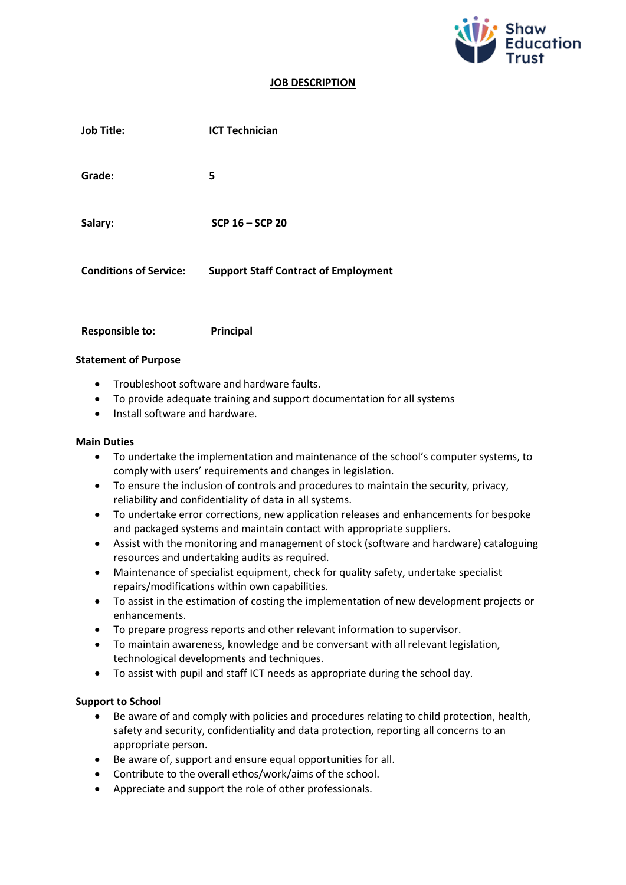

#### **JOB DESCRIPTION**

| <b>Job Title:</b>             | <b>ICT Technician</b>                       |
|-------------------------------|---------------------------------------------|
| Grade:                        | 5                                           |
| Salary:                       | SCP 16 - SCP 20                             |
| <b>Conditions of Service:</b> | <b>Support Staff Contract of Employment</b> |
|                               |                                             |

**Responsible to: Principal**

#### **Statement of Purpose**

- Troubleshoot software and hardware faults.
- To provide adequate training and support documentation for all systems
- Install software and hardware.

#### **Main Duties**

- To undertake the implementation and maintenance of the school's computer systems, to comply with users' requirements and changes in legislation.
- To ensure the inclusion of controls and procedures to maintain the security, privacy, reliability and confidentiality of data in all systems.
- To undertake error corrections, new application releases and enhancements for bespoke and packaged systems and maintain contact with appropriate suppliers.
- Assist with the monitoring and management of stock (software and hardware) cataloguing resources and undertaking audits as required.
- Maintenance of specialist equipment, check for quality safety, undertake specialist repairs/modifications within own capabilities.
- To assist in the estimation of costing the implementation of new development projects or enhancements.
- To prepare progress reports and other relevant information to supervisor.
- To maintain awareness, knowledge and be conversant with all relevant legislation, technological developments and techniques.
- To assist with pupil and staff ICT needs as appropriate during the school day.

## **Support to School**

- Be aware of and comply with policies and procedures relating to child protection, health, safety and security, confidentiality and data protection, reporting all concerns to an appropriate person.
- Be aware of, support and ensure equal opportunities for all.
- Contribute to the overall ethos/work/aims of the school.
- Appreciate and support the role of other professionals.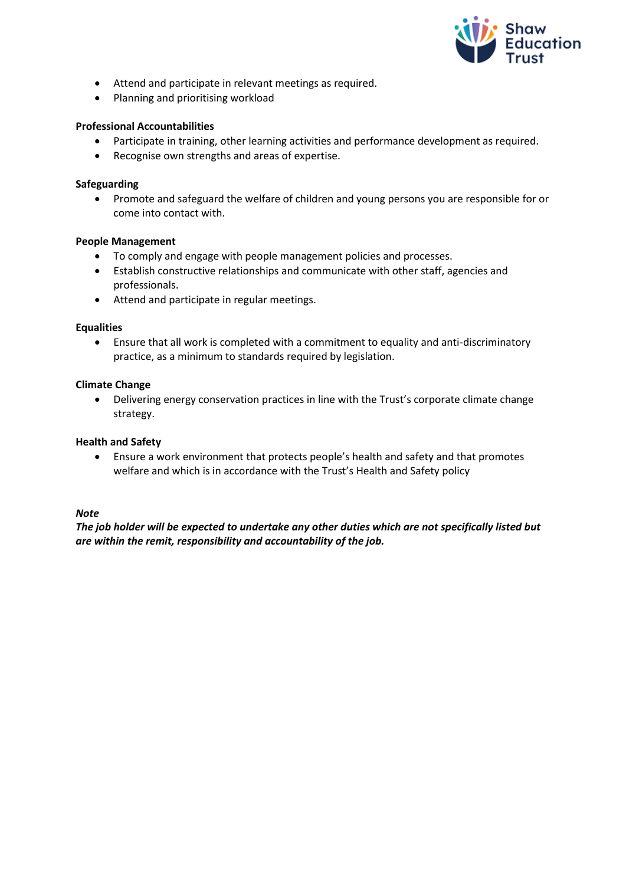

- Attend and participate in relevant meetings as required.
- Planning and prioritising workload

# **Professional Accountabilities**

- Participate in training, other learning activities and performance development as required.
- Recognise own strengths and areas of expertise.

## **Safeguarding**

• Promote and safeguard the welfare of children and young persons you are responsible for or come into contact with.

#### **People Management**

- To comply and engage with people management policies and processes.
- Establish constructive relationships and communicate with other staff, agencies and professionals.
- Attend and participate in regular meetings.

#### **Equalities**

• Ensure that all work is completed with a commitment to equality and anti-discriminatory practice, as a minimum to standards required by legislation.

#### **Climate Change**

• Delivering energy conservation practices in line with the Trust's corporate climate change strategy.

## **Health and Safety**

• Ensure a work environment that protects people's health and safety and that promotes welfare and which is in accordance with the Trust's Health and Safety policy

#### *Note*

*The job holder will be expected to undertake any other duties which are not specifically listed but are within the remit, responsibility and accountability of the job.*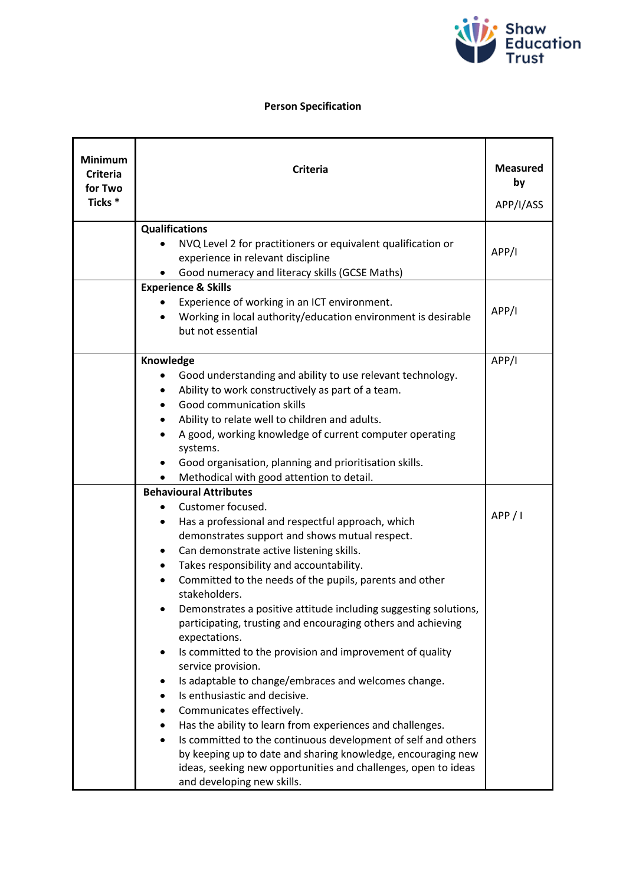

# **Person Specification**

| <b>Minimum</b><br><b>Criteria</b><br>for Two<br>Ticks <sup>*</sup> | <b>Criteria</b>                                                                              | <b>Measured</b><br>by<br>APP/I/ASS |
|--------------------------------------------------------------------|----------------------------------------------------------------------------------------------|------------------------------------|
|                                                                    | <b>Qualifications</b>                                                                        |                                    |
|                                                                    | NVQ Level 2 for practitioners or equivalent qualification or                                 | APP/I                              |
|                                                                    | experience in relevant discipline                                                            |                                    |
|                                                                    | Good numeracy and literacy skills (GCSE Maths)                                               |                                    |
|                                                                    | <b>Experience &amp; Skills</b>                                                               |                                    |
|                                                                    | Experience of working in an ICT environment.                                                 | APP/I                              |
|                                                                    | Working in local authority/education environment is desirable<br>but not essential           |                                    |
|                                                                    | Knowledge                                                                                    |                                    |
|                                                                    | Good understanding and ability to use relevant technology.                                   |                                    |
|                                                                    | Ability to work constructively as part of a team.                                            |                                    |
|                                                                    | Good communication skills                                                                    |                                    |
|                                                                    | Ability to relate well to children and adults.                                               |                                    |
|                                                                    | A good, working knowledge of current computer operating                                      |                                    |
|                                                                    | systems.                                                                                     |                                    |
|                                                                    | Good organisation, planning and prioritisation skills.                                       |                                    |
|                                                                    | Methodical with good attention to detail.                                                    |                                    |
|                                                                    | <b>Behavioural Attributes</b>                                                                |                                    |
|                                                                    | Customer focused.                                                                            | APP / I                            |
|                                                                    | Has a professional and respectful approach, which                                            |                                    |
|                                                                    | demonstrates support and shows mutual respect.                                               |                                    |
|                                                                    | Can demonstrate active listening skills.<br>٠                                                |                                    |
|                                                                    | Takes responsibility and accountability.                                                     |                                    |
|                                                                    | Committed to the needs of the pupils, parents and other<br>stakeholders.                     |                                    |
|                                                                    | Demonstrates a positive attitude including suggesting solutions,                             |                                    |
|                                                                    | participating, trusting and encouraging others and achieving<br>expectations.                |                                    |
|                                                                    | Is committed to the provision and improvement of quality<br>٠                                |                                    |
|                                                                    | service provision.                                                                           |                                    |
|                                                                    | Is adaptable to change/embraces and welcomes change.                                         |                                    |
|                                                                    | Is enthusiastic and decisive.                                                                |                                    |
|                                                                    | Communicates effectively.                                                                    |                                    |
|                                                                    | Has the ability to learn from experiences and challenges.                                    |                                    |
|                                                                    | Is committed to the continuous development of self and others                                |                                    |
|                                                                    | by keeping up to date and sharing knowledge, encouraging new                                 |                                    |
|                                                                    | ideas, seeking new opportunities and challenges, open to ideas<br>and developing new skills. |                                    |